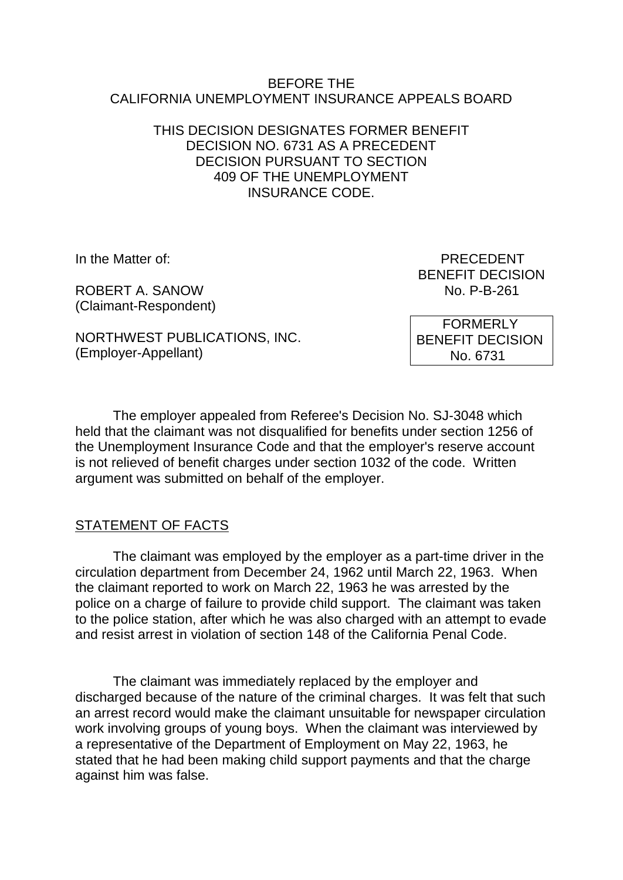#### BEFORE THE CALIFORNIA UNEMPLOYMENT INSURANCE APPEALS BOARD

## THIS DECISION DESIGNATES FORMER BENEFIT DECISION NO. 6731 AS A PRECEDENT DECISION PURSUANT TO SECTION 409 OF THE UNEMPLOYMENT INSURANCE CODE.

ROBERT A SANOW NO P-B-261 (Claimant-Respondent)

In the Matter of: **PRECEDENT** BENEFIT DECISION

NORTHWEST PUBLICATIONS, INC. (Employer-Appellant)

 FORMERLY BENEFIT DECISION No. 6731

The employer appealed from Referee's Decision No. SJ-3048 which held that the claimant was not disqualified for benefits under section 1256 of the Unemployment Insurance Code and that the employer's reserve account is not relieved of benefit charges under section 1032 of the code. Written argument was submitted on behalf of the employer.

# STATEMENT OF FACTS

The claimant was employed by the employer as a part-time driver in the circulation department from December 24, 1962 until March 22, 1963. When the claimant reported to work on March 22, 1963 he was arrested by the police on a charge of failure to provide child support. The claimant was taken to the police station, after which he was also charged with an attempt to evade and resist arrest in violation of section 148 of the California Penal Code.

The claimant was immediately replaced by the employer and discharged because of the nature of the criminal charges. It was felt that such an arrest record would make the claimant unsuitable for newspaper circulation work involving groups of young boys. When the claimant was interviewed by a representative of the Department of Employment on May 22, 1963, he stated that he had been making child support payments and that the charge against him was false.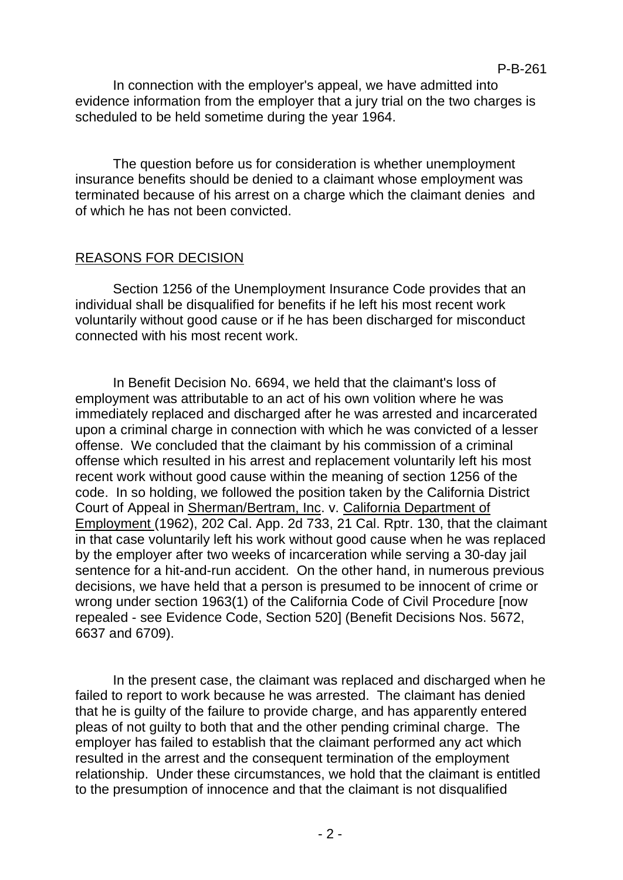In connection with the employer's appeal, we have admitted into evidence information from the employer that a jury trial on the two charges is scheduled to be held sometime during the year 1964.

The question before us for consideration is whether unemployment insurance benefits should be denied to a claimant whose employment was terminated because of his arrest on a charge which the claimant denies and of which he has not been convicted.

## REASONS FOR DECISION

Section 1256 of the Unemployment Insurance Code provides that an individual shall be disqualified for benefits if he left his most recent work voluntarily without good cause or if he has been discharged for misconduct connected with his most recent work.

In Benefit Decision No. 6694, we held that the claimant's loss of employment was attributable to an act of his own volition where he was immediately replaced and discharged after he was arrested and incarcerated upon a criminal charge in connection with which he was convicted of a lesser offense. We concluded that the claimant by his commission of a criminal offense which resulted in his arrest and replacement voluntarily left his most recent work without good cause within the meaning of section 1256 of the code. In so holding, we followed the position taken by the California District Court of Appeal in Sherman/Bertram, Inc. v. California Department of Employment (1962), 202 Cal. App. 2d 733, 21 Cal. Rptr. 130, that the claimant in that case voluntarily left his work without good cause when he was replaced by the employer after two weeks of incarceration while serving a 30-day jail sentence for a hit-and-run accident. On the other hand, in numerous previous decisions, we have held that a person is presumed to be innocent of crime or wrong under section 1963(1) of the California Code of Civil Procedure [now repealed - see Evidence Code, Section 520] (Benefit Decisions Nos. 5672, 6637 and 6709).

In the present case, the claimant was replaced and discharged when he failed to report to work because he was arrested. The claimant has denied that he is guilty of the failure to provide charge, and has apparently entered pleas of not guilty to both that and the other pending criminal charge. The employer has failed to establish that the claimant performed any act which resulted in the arrest and the consequent termination of the employment relationship. Under these circumstances, we hold that the claimant is entitled to the presumption of innocence and that the claimant is not disqualified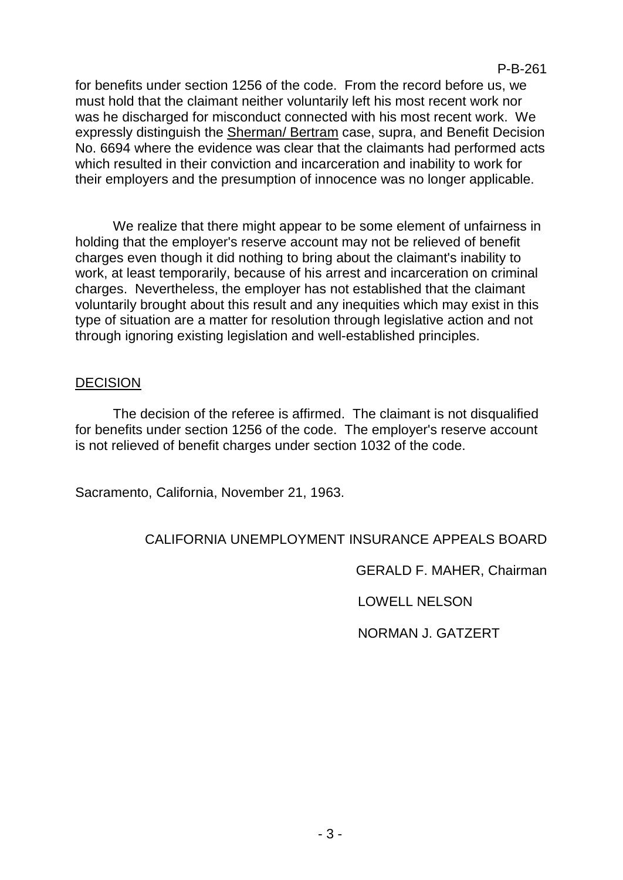for benefits under section 1256 of the code. From the record before us, we must hold that the claimant neither voluntarily left his most recent work nor was he discharged for misconduct connected with his most recent work. We expressly distinguish the Sherman/ Bertram case, supra, and Benefit Decision No. 6694 where the evidence was clear that the claimants had performed acts which resulted in their conviction and incarceration and inability to work for their employers and the presumption of innocence was no longer applicable.

We realize that there might appear to be some element of unfairness in holding that the employer's reserve account may not be relieved of benefit charges even though it did nothing to bring about the claimant's inability to work, at least temporarily, because of his arrest and incarceration on criminal charges. Nevertheless, the employer has not established that the claimant voluntarily brought about this result and any inequities which may exist in this type of situation are a matter for resolution through legislative action and not through ignoring existing legislation and well-established principles.

## **DECISION**

The decision of the referee is affirmed. The claimant is not disqualified for benefits under section 1256 of the code. The employer's reserve account is not relieved of benefit charges under section 1032 of the code.

Sacramento, California, November 21, 1963.

# CALIFORNIA UNEMPLOYMENT INSURANCE APPEALS BOARD

GERALD F. MAHER, Chairman

LOWELL NELSON

NORMAN J. GATZERT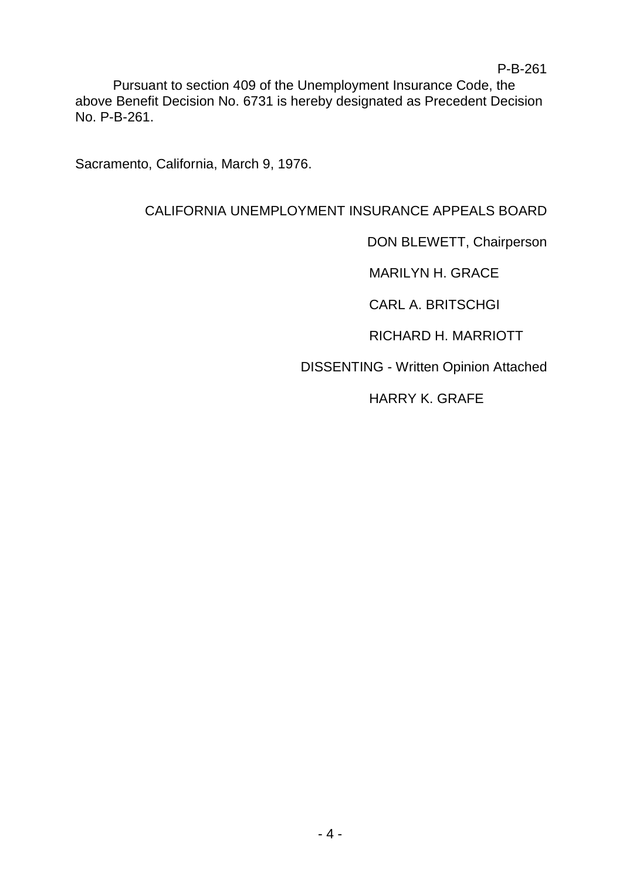Pursuant to section 409 of the Unemployment Insurance Code, the above Benefit Decision No. 6731 is hereby designated as Precedent Decision No. P-B-261.

Sacramento, California, March 9, 1976.

# CALIFORNIA UNEMPLOYMENT INSURANCE APPEALS BOARD

DON BLEWETT, Chairperson

MARILYN H. GRACE

CARL A. BRITSCHGI

RICHARD H. MARRIOTT

DISSENTING - Written Opinion Attached

HARRY K. GRAFE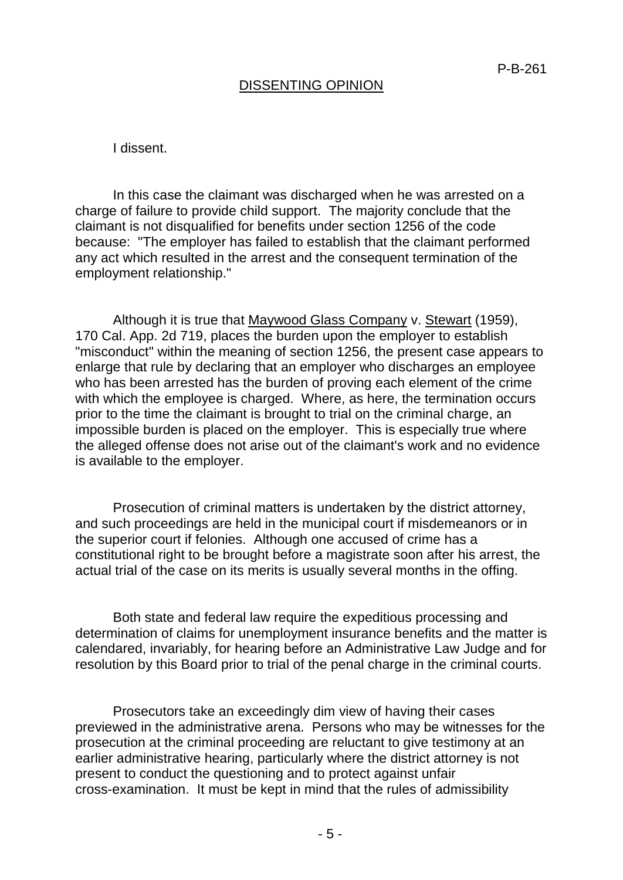# DISSENTING OPINION

#### I dissent.

In this case the claimant was discharged when he was arrested on a charge of failure to provide child support. The majority conclude that the claimant is not disqualified for benefits under section 1256 of the code because: "The employer has failed to establish that the claimant performed any act which resulted in the arrest and the consequent termination of the employment relationship."

Although it is true that Maywood Glass Company v. Stewart (1959), 170 Cal. App. 2d 719, places the burden upon the employer to establish "misconduct" within the meaning of section 1256, the present case appears to enlarge that rule by declaring that an employer who discharges an employee who has been arrested has the burden of proving each element of the crime with which the employee is charged. Where, as here, the termination occurs prior to the time the claimant is brought to trial on the criminal charge, an impossible burden is placed on the employer. This is especially true where the alleged offense does not arise out of the claimant's work and no evidence is available to the employer.

Prosecution of criminal matters is undertaken by the district attorney, and such proceedings are held in the municipal court if misdemeanors or in the superior court if felonies. Although one accused of crime has a constitutional right to be brought before a magistrate soon after his arrest, the actual trial of the case on its merits is usually several months in the offing.

Both state and federal law require the expeditious processing and determination of claims for unemployment insurance benefits and the matter is calendared, invariably, for hearing before an Administrative Law Judge and for resolution by this Board prior to trial of the penal charge in the criminal courts.

Prosecutors take an exceedingly dim view of having their cases previewed in the administrative arena. Persons who may be witnesses for the prosecution at the criminal proceeding are reluctant to give testimony at an earlier administrative hearing, particularly where the district attorney is not present to conduct the questioning and to protect against unfair cross-examination. It must be kept in mind that the rules of admissibility